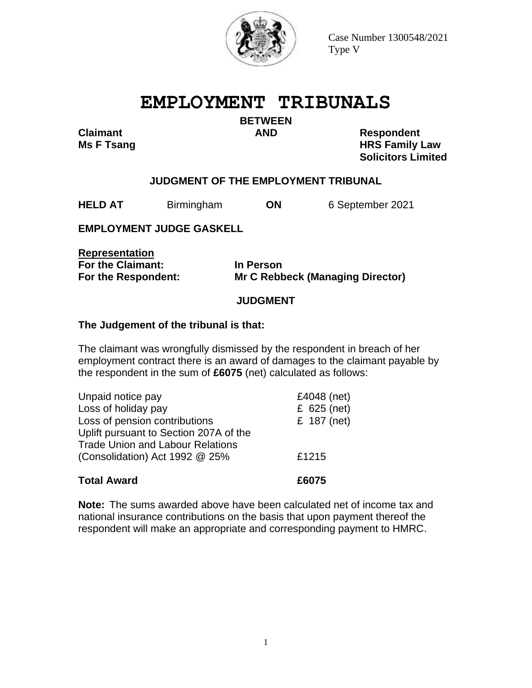

# **EMPLOYMENT TRIBUNALS**

**BETWEEN**

**Claimant AND Respondent** 

**Ms F Tsang HRS Family Law Solicitors Limited**

## **JUDGMENT OF THE EMPLOYMENT TRIBUNAL**

**HELD AT** Birmingham **ON** 6 September 2021

**EMPLOYMENT JUDGE GASKELL**

**Representation For the Claimant: In Person** 

**For the Respondent: Mr C Rebbeck (Managing Director)**

### **JUDGMENT**

#### **The Judgement of the tribunal is that:**

The claimant was wrongfully dismissed by the respondent in breach of her employment contract there is an award of damages to the claimant payable by the respondent in the sum of **£6075** (net) calculated as follows:

| Uplift pursuant to Section 207A of the<br><b>Trade Union and Labour Relations</b> |       |
|-----------------------------------------------------------------------------------|-------|
| (Consolidation) Act 1992 @ 25%                                                    | £1215 |
| <b>Total Award</b>                                                                | £6075 |

**Note:** The sums awarded above have been calculated net of income tax and national insurance contributions on the basis that upon payment thereof the respondent will make an appropriate and corresponding payment to HMRC.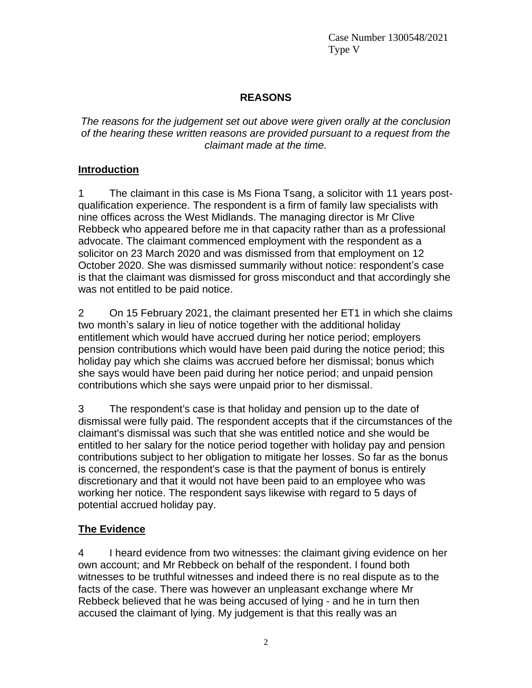## **REASONS**

*The reasons for the judgement set out above were given orally at the conclusion of the hearing these written reasons are provided pursuant to a request from the claimant made at the time.*

### **Introduction**

1 The claimant in this case is Ms Fiona Tsang, a solicitor with 11 years postqualification experience. The respondent is a firm of family law specialists with nine offices across the West Midlands. The managing director is Mr Clive Rebbeck who appeared before me in that capacity rather than as a professional advocate. The claimant commenced employment with the respondent as a solicitor on 23 March 2020 and was dismissed from that employment on 12 October 2020. She was dismissed summarily without notice: respondent's case is that the claimant was dismissed for gross misconduct and that accordingly she was not entitled to be paid notice.

2 On 15 February 2021, the claimant presented her ET1 in which she claims two month's salary in lieu of notice together with the additional holiday entitlement which would have accrued during her notice period; employers pension contributions which would have been paid during the notice period; this holiday pay which she claims was accrued before her dismissal; bonus which she says would have been paid during her notice period; and unpaid pension contributions which she says were unpaid prior to her dismissal.

3 The respondent's case is that holiday and pension up to the date of dismissal were fully paid. The respondent accepts that if the circumstances of the claimant's dismissal was such that she was entitled notice and she would be entitled to her salary for the notice period together with holiday pay and pension contributions subject to her obligation to mitigate her losses. So far as the bonus is concerned, the respondent's case is that the payment of bonus is entirely discretionary and that it would not have been paid to an employee who was working her notice. The respondent says likewise with regard to 5 days of potential accrued holiday pay.

# **The Evidence**

4 I heard evidence from two witnesses: the claimant giving evidence on her own account; and Mr Rebbeck on behalf of the respondent. I found both witnesses to be truthful witnesses and indeed there is no real dispute as to the facts of the case. There was however an unpleasant exchange where Mr Rebbeck believed that he was being accused of lying - and he in turn then accused the claimant of lying. My judgement is that this really was an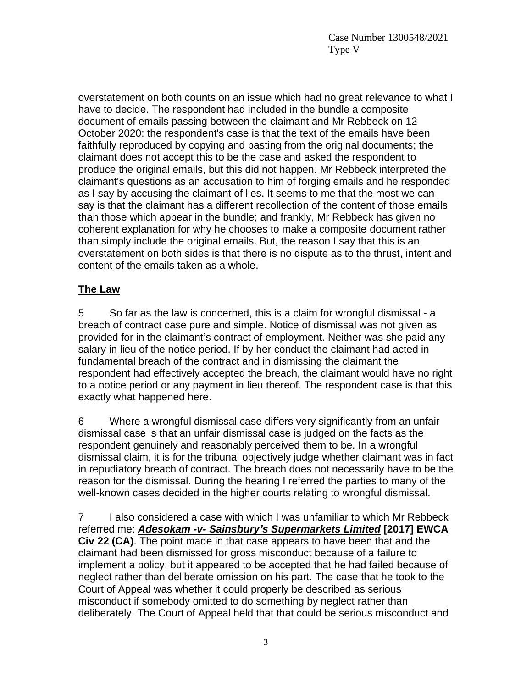overstatement on both counts on an issue which had no great relevance to what I have to decide. The respondent had included in the bundle a composite document of emails passing between the claimant and Mr Rebbeck on 12 October 2020: the respondent's case is that the text of the emails have been faithfully reproduced by copying and pasting from the original documents; the claimant does not accept this to be the case and asked the respondent to produce the original emails, but this did not happen. Mr Rebbeck interpreted the claimant's questions as an accusation to him of forging emails and he responded as I say by accusing the claimant of lies. It seems to me that the most we can say is that the claimant has a different recollection of the content of those emails than those which appear in the bundle; and frankly, Mr Rebbeck has given no coherent explanation for why he chooses to make a composite document rather than simply include the original emails. But, the reason I say that this is an overstatement on both sides is that there is no dispute as to the thrust, intent and content of the emails taken as a whole.

### **The Law**

5 So far as the law is concerned, this is a claim for wrongful dismissal - a breach of contract case pure and simple. Notice of dismissal was not given as provided for in the claimant's contract of employment. Neither was she paid any salary in lieu of the notice period. If by her conduct the claimant had acted in fundamental breach of the contract and in dismissing the claimant the respondent had effectively accepted the breach, the claimant would have no right to a notice period or any payment in lieu thereof. The respondent case is that this exactly what happened here.

6 Where a wrongful dismissal case differs very significantly from an unfair dismissal case is that an unfair dismissal case is judged on the facts as the respondent genuinely and reasonably perceived them to be. In a wrongful dismissal claim, it is for the tribunal objectively judge whether claimant was in fact in repudiatory breach of contract. The breach does not necessarily have to be the reason for the dismissal. During the hearing I referred the parties to many of the well-known cases decided in the higher courts relating to wrongful dismissal.

7 I also considered a case with which I was unfamiliar to which Mr Rebbeck referred me: *Adesokam -v- Sainsbury's Supermarkets Limited* **[2017] EWCA Civ 22 (CA)**. The point made in that case appears to have been that and the claimant had been dismissed for gross misconduct because of a failure to implement a policy; but it appeared to be accepted that he had failed because of neglect rather than deliberate omission on his part. The case that he took to the Court of Appeal was whether it could properly be described as serious misconduct if somebody omitted to do something by neglect rather than deliberately. The Court of Appeal held that that could be serious misconduct and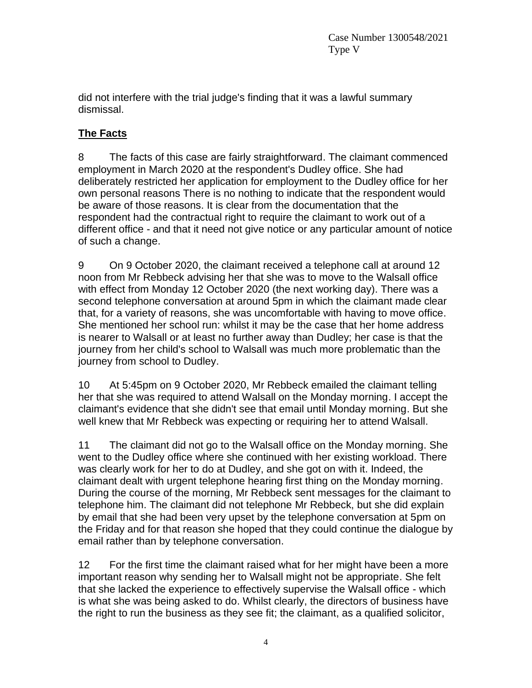did not interfere with the trial judge's finding that it was a lawful summary dismissal.

# **The Facts**

8 The facts of this case are fairly straightforward. The claimant commenced employment in March 2020 at the respondent's Dudley office. She had deliberately restricted her application for employment to the Dudley office for her own personal reasons There is no nothing to indicate that the respondent would be aware of those reasons. It is clear from the documentation that the respondent had the contractual right to require the claimant to work out of a different office - and that it need not give notice or any particular amount of notice of such a change.

9 On 9 October 2020, the claimant received a telephone call at around 12 noon from Mr Rebbeck advising her that she was to move to the Walsall office with effect from Monday 12 October 2020 (the next working day). There was a second telephone conversation at around 5pm in which the claimant made clear that, for a variety of reasons, she was uncomfortable with having to move office. She mentioned her school run: whilst it may be the case that her home address is nearer to Walsall or at least no further away than Dudley; her case is that the journey from her child's school to Walsall was much more problematic than the journey from school to Dudley.

10 At 5:45pm on 9 October 2020, Mr Rebbeck emailed the claimant telling her that she was required to attend Walsall on the Monday morning. I accept the claimant's evidence that she didn't see that email until Monday morning. But she well knew that Mr Rebbeck was expecting or requiring her to attend Walsall.

11 The claimant did not go to the Walsall office on the Monday morning. She went to the Dudley office where she continued with her existing workload. There was clearly work for her to do at Dudley, and she got on with it. Indeed, the claimant dealt with urgent telephone hearing first thing on the Monday morning. During the course of the morning, Mr Rebbeck sent messages for the claimant to telephone him. The claimant did not telephone Mr Rebbeck, but she did explain by email that she had been very upset by the telephone conversation at 5pm on the Friday and for that reason she hoped that they could continue the dialogue by email rather than by telephone conversation.

12 For the first time the claimant raised what for her might have been a more important reason why sending her to Walsall might not be appropriate. She felt that she lacked the experience to effectively supervise the Walsall office - which is what she was being asked to do. Whilst clearly, the directors of business have the right to run the business as they see fit; the claimant, as a qualified solicitor,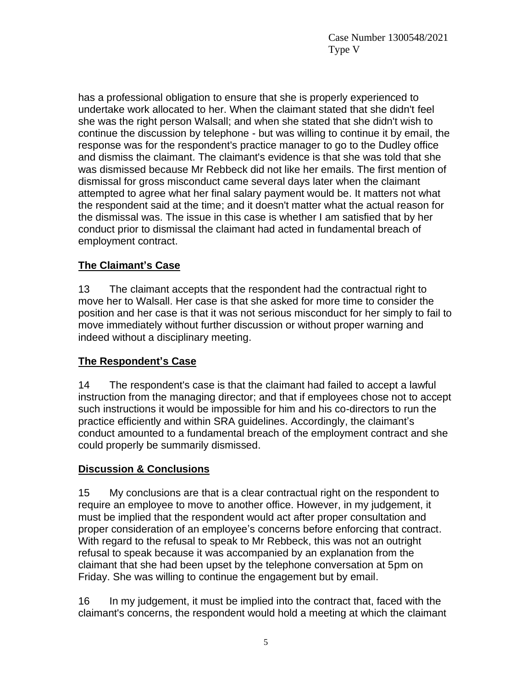has a professional obligation to ensure that she is properly experienced to undertake work allocated to her. When the claimant stated that she didn't feel she was the right person Walsall; and when she stated that she didn't wish to continue the discussion by telephone - but was willing to continue it by email, the response was for the respondent's practice manager to go to the Dudley office and dismiss the claimant. The claimant's evidence is that she was told that she was dismissed because Mr Rebbeck did not like her emails. The first mention of dismissal for gross misconduct came several days later when the claimant attempted to agree what her final salary payment would be. It matters not what the respondent said at the time; and it doesn't matter what the actual reason for the dismissal was. The issue in this case is whether I am satisfied that by her conduct prior to dismissal the claimant had acted in fundamental breach of employment contract.

# **The Claimant's Case**

13 The claimant accepts that the respondent had the contractual right to move her to Walsall. Her case is that she asked for more time to consider the position and her case is that it was not serious misconduct for her simply to fail to move immediately without further discussion or without proper warning and indeed without a disciplinary meeting.

## **The Respondent's Case**

14 The respondent's case is that the claimant had failed to accept a lawful instruction from the managing director; and that if employees chose not to accept such instructions it would be impossible for him and his co-directors to run the practice efficiently and within SRA guidelines. Accordingly, the claimant's conduct amounted to a fundamental breach of the employment contract and she could properly be summarily dismissed.

## **Discussion & Conclusions**

15 My conclusions are that is a clear contractual right on the respondent to require an employee to move to another office. However, in my judgement, it must be implied that the respondent would act after proper consultation and proper consideration of an employee's concerns before enforcing that contract. With regard to the refusal to speak to Mr Rebbeck, this was not an outright refusal to speak because it was accompanied by an explanation from the claimant that she had been upset by the telephone conversation at 5pm on Friday. She was willing to continue the engagement but by email.

16 In my judgement, it must be implied into the contract that, faced with the claimant's concerns, the respondent would hold a meeting at which the claimant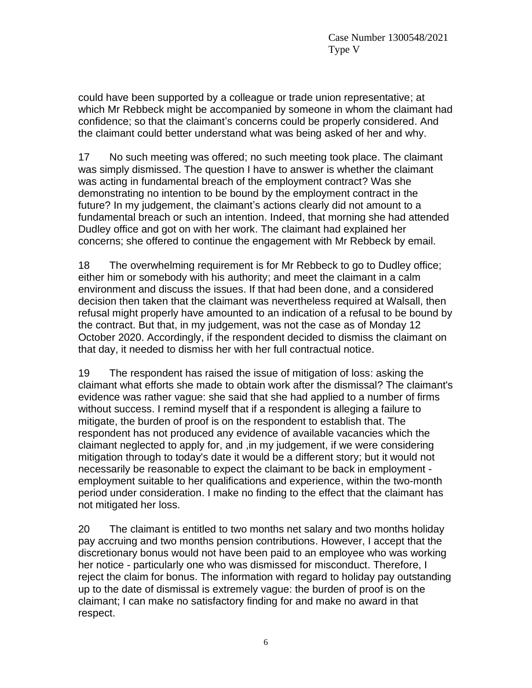could have been supported by a colleague or trade union representative; at which Mr Rebbeck might be accompanied by someone in whom the claimant had confidence; so that the claimant's concerns could be properly considered. And the claimant could better understand what was being asked of her and why.

17 No such meeting was offered; no such meeting took place. The claimant was simply dismissed. The question I have to answer is whether the claimant was acting in fundamental breach of the employment contract? Was she demonstrating no intention to be bound by the employment contract in the future? In my judgement, the claimant's actions clearly did not amount to a fundamental breach or such an intention. Indeed, that morning she had attended Dudley office and got on with her work. The claimant had explained her concerns; she offered to continue the engagement with Mr Rebbeck by email.

18 The overwhelming requirement is for Mr Rebbeck to go to Dudley office; either him or somebody with his authority; and meet the claimant in a calm environment and discuss the issues. If that had been done, and a considered decision then taken that the claimant was nevertheless required at Walsall, then refusal might properly have amounted to an indication of a refusal to be bound by the contract. But that, in my judgement, was not the case as of Monday 12 October 2020. Accordingly, if the respondent decided to dismiss the claimant on that day, it needed to dismiss her with her full contractual notice.

19 The respondent has raised the issue of mitigation of loss: asking the claimant what efforts she made to obtain work after the dismissal? The claimant's evidence was rather vague: she said that she had applied to a number of firms without success. I remind myself that if a respondent is alleging a failure to mitigate, the burden of proof is on the respondent to establish that. The respondent has not produced any evidence of available vacancies which the claimant neglected to apply for, and ,in my judgement, if we were considering mitigation through to today's date it would be a different story; but it would not necessarily be reasonable to expect the claimant to be back in employment employment suitable to her qualifications and experience, within the two-month period under consideration. I make no finding to the effect that the claimant has not mitigated her loss.

20 The claimant is entitled to two months net salary and two months holiday pay accruing and two months pension contributions. However, I accept that the discretionary bonus would not have been paid to an employee who was working her notice - particularly one who was dismissed for misconduct. Therefore, I reject the claim for bonus. The information with regard to holiday pay outstanding up to the date of dismissal is extremely vague: the burden of proof is on the claimant; I can make no satisfactory finding for and make no award in that respect.